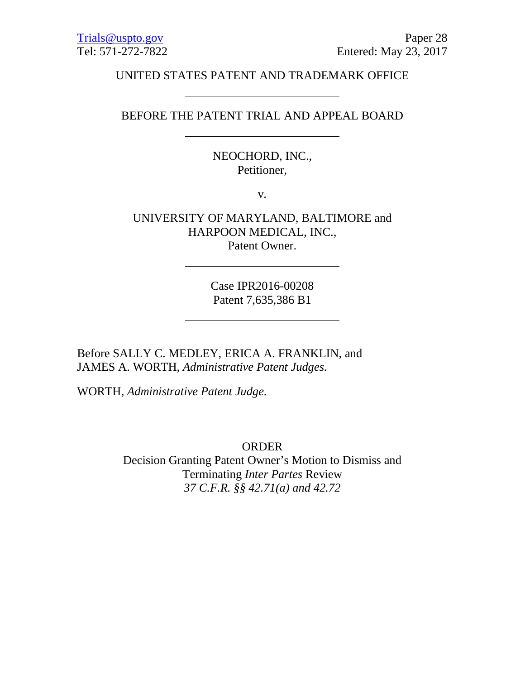#### UNITED STATES PATENT AND TRADEMARK OFFICE

### BEFORE THE PATENT TRIAL AND APPEAL BOARD

NEOCHORD, INC., Petitioner,

v.

UNIVERSITY OF MARYLAND, BALTIMORE and HARPOON MEDICAL, INC., Patent Owner.

> Case IPR2016-00208 Patent 7,635,386 B1

Before SALLY C. MEDLEY, ERICA A. FRANKLIN, and JAMES A. WORTH, *Administrative Patent Judges.*

WORTH, *Administrative Patent Judge*.

ORDER

Decision Granting Patent Owner's Motion to Dismiss and Terminating *Inter Partes* Review *37 C.F.R. §§ 42.71(a) and 42.72*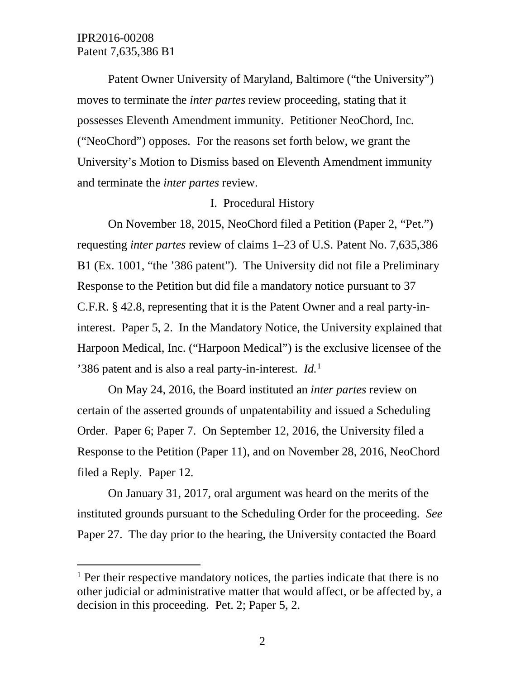$\overline{a}$ 

Patent Owner University of Maryland, Baltimore ("the University") moves to terminate the *inter partes* review proceeding, stating that it possesses Eleventh Amendment immunity. Petitioner NeoChord, Inc. ("NeoChord") opposes. For the reasons set forth below, we grant the University's Motion to Dismiss based on Eleventh Amendment immunity and terminate the *inter partes* review.

#### I. Procedural History

On November 18, 2015, NeoChord filed a Petition (Paper 2, "Pet.") requesting *inter partes* review of claims 1–23 of U.S. Patent No. 7,635,386 B1 (Ex. 1001, "the '386 patent"). The University did not file a Preliminary Response to the Petition but did file a mandatory notice pursuant to 37 C.F.R. § 42.8, representing that it is the Patent Owner and a real party-ininterest. Paper 5, 2. In the Mandatory Notice, the University explained that Harpoon Medical, Inc. ("Harpoon Medical") is the exclusive licensee of the '386 patent and is also a real party-in-interest. *Id.*[1](#page-1-0)

On May 24, 2016, the Board instituted an *inter partes* review on certain of the asserted grounds of unpatentability and issued a Scheduling Order. Paper 6; Paper 7. On September 12, 2016, the University filed a Response to the Petition (Paper 11), and on November 28, 2016, NeoChord filed a Reply. Paper 12.

On January 31, 2017, oral argument was heard on the merits of the instituted grounds pursuant to the Scheduling Order for the proceeding. *See* Paper 27. The day prior to the hearing, the University contacted the Board

<span id="page-1-0"></span><sup>&</sup>lt;sup>1</sup> Per their respective mandatory notices, the parties indicate that there is no other judicial or administrative matter that would affect, or be affected by, a decision in this proceeding. Pet. 2; Paper 5, 2.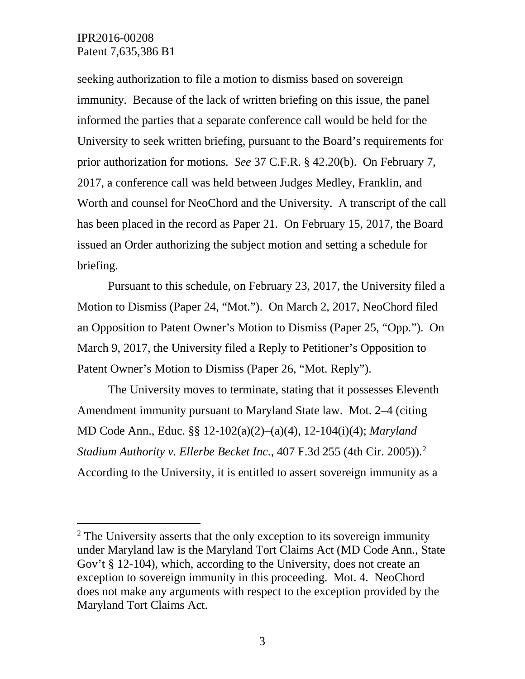$\overline{a}$ 

seeking authorization to file a motion to dismiss based on sovereign immunity. Because of the lack of written briefing on this issue, the panel informed the parties that a separate conference call would be held for the University to seek written briefing, pursuant to the Board's requirements for prior authorization for motions. *See* 37 C.F.R. § 42.20(b). On February 7, 2017, a conference call was held between Judges Medley, Franklin, and Worth and counsel for NeoChord and the University. A transcript of the call has been placed in the record as Paper 21. On February 15, 2017, the Board issued an Order authorizing the subject motion and setting a schedule for briefing.

Pursuant to this schedule, on February 23, 2017, the University filed a Motion to Dismiss (Paper 24, "Mot."). On March 2, 2017, NeoChord filed an Opposition to Patent Owner's Motion to Dismiss (Paper 25, "Opp."). On March 9, 2017, the University filed a Reply to Petitioner's Opposition to Patent Owner's Motion to Dismiss (Paper 26, "Mot. Reply").

The University moves to terminate, stating that it possesses Eleventh Amendment immunity pursuant to Maryland State law. Mot. 2–4 (citing MD Code Ann., Educ. §§ 12-102(a)(2)–(a)(4), 12-104(i)(4); *Maryland Stadium Authority v. Ellerbe Becket Inc.*, 407 F.3d 255 (4th Cir. 2005)). [2](#page-2-0) According to the University, it is entitled to assert sovereign immunity as a

<span id="page-2-0"></span> $2$  The University asserts that the only exception to its sovereign immunity under Maryland law is the Maryland Tort Claims Act (MD Code Ann., State Gov't § 12-104), which, according to the University, does not create an exception to sovereign immunity in this proceeding. Mot. 4. NeoChord does not make any arguments with respect to the exception provided by the Maryland Tort Claims Act.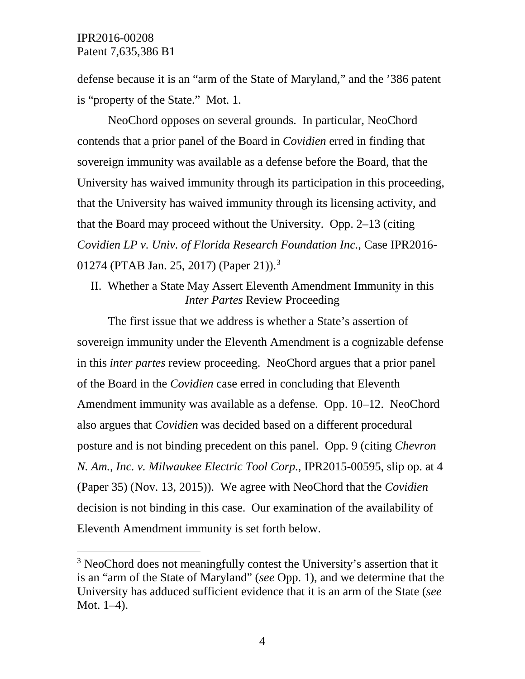$\overline{a}$ 

defense because it is an "arm of the State of Maryland," and the '386 patent is "property of the State." Mot. 1.

NeoChord opposes on several grounds. In particular, NeoChord contends that a prior panel of the Board in *Covidien* erred in finding that sovereign immunity was available as a defense before the Board, that the University has waived immunity through its participation in this proceeding, that the University has waived immunity through its licensing activity, and that the Board may proceed without the University. Opp. 2–13 (citing *Covidien LP v. Univ. of Florida Research Foundation Inc.*, Case IPR2016- 01274 (PTAB Jan. 25, 2017) (Paper 21)).<sup>[3](#page-3-0)</sup>

II. Whether a State May Assert Eleventh Amendment Immunity in this *Inter Partes* Review Proceeding

The first issue that we address is whether a State's assertion of sovereign immunity under the Eleventh Amendment is a cognizable defense in this *inter partes* review proceeding. NeoChord argues that a prior panel of the Board in the *Covidien* case erred in concluding that Eleventh Amendment immunity was available as a defense. Opp. 10–12. NeoChord also argues that *Covidien* was decided based on a different procedural posture and is not binding precedent on this panel. Opp. 9 (citing *Chevron N. Am., Inc. v. Milwaukee Electric Tool Corp.*, IPR2015-00595, slip op. at 4 (Paper 35) (Nov. 13, 2015)). We agree with NeoChord that the *Covidien* decision is not binding in this case. Our examination of the availability of Eleventh Amendment immunity is set forth below.

<span id="page-3-0"></span><sup>&</sup>lt;sup>3</sup> NeoChord does not meaningfully contest the University's assertion that it is an "arm of the State of Maryland" (*see* Opp. 1), and we determine that the University has adduced sufficient evidence that it is an arm of the State (*see* Mot. 1–4).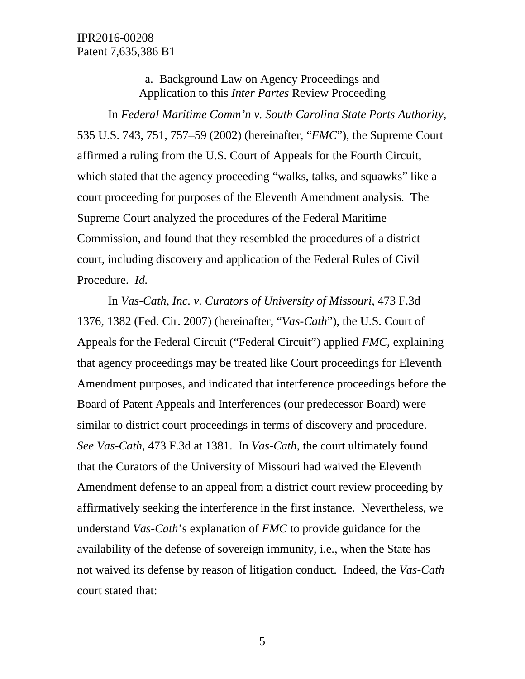a. Background Law on Agency Proceedings and Application to this *Inter Partes* Review Proceeding

In *Federal Maritime Comm'n v. South Carolina State Ports Authority*, 535 U.S. 743, 751, 757–59 (2002) (hereinafter, "*FMC*"), the Supreme Court affirmed a ruling from the U.S. Court of Appeals for the Fourth Circuit, which stated that the agency proceeding "walks, talks, and squawks" like a court proceeding for purposes of the Eleventh Amendment analysis. The Supreme Court analyzed the procedures of the Federal Maritime Commission, and found that they resembled the procedures of a district court, including discovery and application of the Federal Rules of Civil Procedure. *Id.*

In *Vas-Cath, Inc. v. Curators of University of Missouri*, 473 F.3d 1376, 1382 (Fed. Cir. 2007) (hereinafter, "*Vas-Cath*"), the U.S. Court of Appeals for the Federal Circuit ("Federal Circuit") applied *FMC*, explaining that agency proceedings may be treated like Court proceedings for Eleventh Amendment purposes, and indicated that interference proceedings before the Board of Patent Appeals and Interferences (our predecessor Board) were similar to district court proceedings in terms of discovery and procedure. *See Vas-Cath*, 473 F.3d at 1381. In *Vas-Cath*, the court ultimately found that the Curators of the University of Missouri had waived the Eleventh Amendment defense to an appeal from a district court review proceeding by affirmatively seeking the interference in the first instance. Nevertheless, we understand *Vas-Cath*'s explanation of *FMC* to provide guidance for the availability of the defense of sovereign immunity, i.e., when the State has not waived its defense by reason of litigation conduct. Indeed, the *Vas-Cath* court stated that: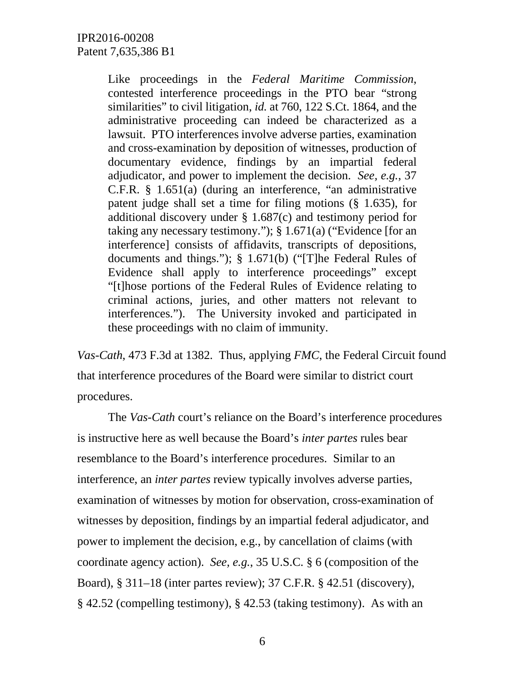Like proceedings in the *Federal Maritime Commission*, contested interference proceedings in the PTO bear "strong similarities" to civil litigation, *id.* at 760, 122 S.Ct. 1864, and the administrative proceeding can indeed be characterized as a lawsuit. PTO interferences involve adverse parties, examination and cross-examination by deposition of witnesses, production of documentary evidence, findings by an impartial federal adjudicator, and power to implement the decision. *See, e.g.*, 37 C.F.R. § 1.651(a) (during an interference, "an administrative patent judge shall set a time for filing motions (§ 1.635), for additional discovery under § 1.687(c) and testimony period for taking any necessary testimony."); § 1.671(a) ("Evidence [for an interference] consists of affidavits, transcripts of depositions, documents and things."); § 1.671(b) ("[T]he Federal Rules of Evidence shall apply to interference proceedings" except "[t]hose portions of the Federal Rules of Evidence relating to criminal actions, juries, and other matters not relevant to interferences."). The University invoked and participated in these proceedings with no claim of immunity.

*Vas-Cath*, 473 F.3d at 1382. Thus, applying *FMC*, the Federal Circuit found that interference procedures of the Board were similar to district court procedures.

The *Vas-Cath* court's reliance on the Board's interference procedures is instructive here as well because the Board's *inter partes* rules bear resemblance to the Board's interference procedures. Similar to an interference, an *inter partes* review typically involves adverse parties, examination of witnesses by motion for observation, cross-examination of witnesses by deposition, findings by an impartial federal adjudicator, and power to implement the decision, e.g., by cancellation of claims (with coordinate agency action). *See, e.g.*, 35 U.S.C. § 6 (composition of the Board), § 311–18 (inter partes review); 37 C.F.R. § 42.51 (discovery), § 42.52 (compelling testimony), § 42.53 (taking testimony). As with an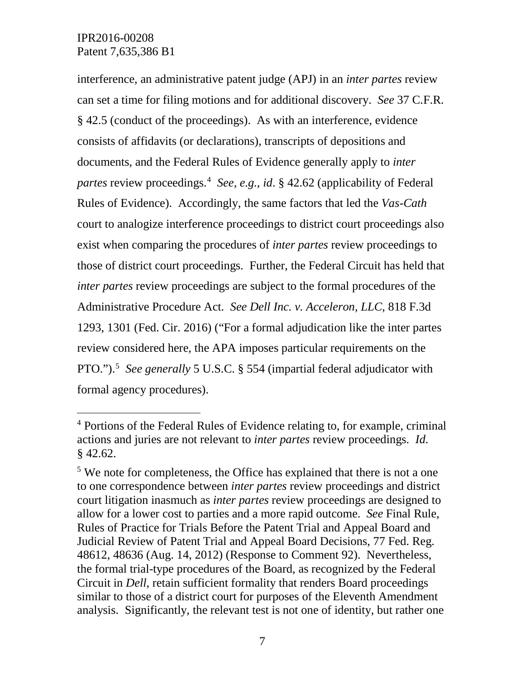$\overline{a}$ 

interference, an administrative patent judge (APJ) in an *inter partes* review can set a time for filing motions and for additional discovery. *See* 37 C.F.R. § 42.5 (conduct of the proceedings). As with an interference, evidence consists of affidavits (or declarations), transcripts of depositions and documents, and the Federal Rules of Evidence generally apply to *inter partes* review proceedings. [4](#page-6-0) *See, e.g.*, *id*. § 42.62 (applicability of Federal Rules of Evidence). Accordingly, the same factors that led the *Vas-Cath* court to analogize interference proceedings to district court proceedings also exist when comparing the procedures of *inter partes* review proceedings to those of district court proceedings. Further, the Federal Circuit has held that *inter partes* review proceedings are subject to the formal procedures of the Administrative Procedure Act. *See Dell Inc. v. Acceleron, LLC*, 818 F.3d 1293, 1301 (Fed. Cir. 2016) ("For a formal adjudication like the inter partes review considered here, the APA imposes particular requirements on the PTO.").<sup>[5](#page-6-1)</sup> See generally 5 U.S.C. § 554 (impartial federal adjudicator with formal agency procedures).

<span id="page-6-0"></span><sup>&</sup>lt;sup>4</sup> Portions of the Federal Rules of Evidence relating to, for example, criminal actions and juries are not relevant to *inter partes* review proceedings. *Id*. § 42.62.

<span id="page-6-1"></span><sup>&</sup>lt;sup>5</sup> We note for completeness, the Office has explained that there is not a one to one correspondence between *inter partes* review proceedings and district court litigation inasmuch as *inter partes* review proceedings are designed to allow for a lower cost to parties and a more rapid outcome. *See* Final Rule, Rules of Practice for Trials Before the Patent Trial and Appeal Board and Judicial Review of Patent Trial and Appeal Board Decisions, 77 Fed. Reg. 48612, 48636 (Aug. 14, 2012) (Response to Comment 92). Nevertheless, the formal trial-type procedures of the Board, as recognized by the Federal Circuit in *Dell*, retain sufficient formality that renders Board proceedings similar to those of a district court for purposes of the Eleventh Amendment analysis. Significantly, the relevant test is not one of identity, but rather one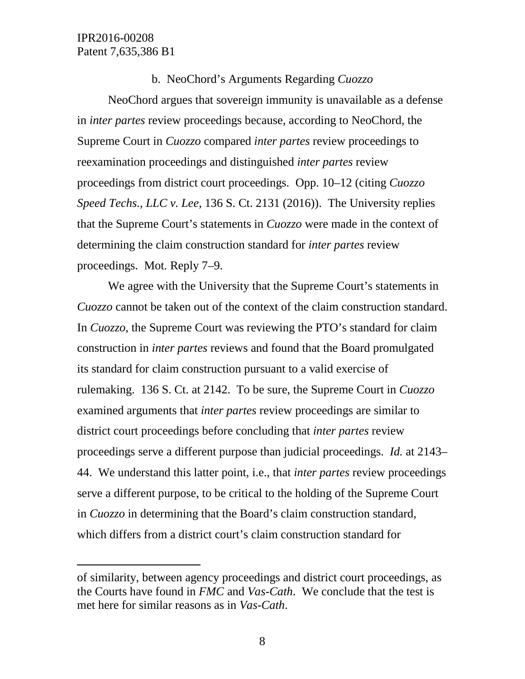$\overline{a}$ 

### b. NeoChord's Arguments Regarding *Cuozzo*

NeoChord argues that sovereign immunity is unavailable as a defense in *inter partes* review proceedings because, according to NeoChord, the Supreme Court in *Cuozzo* compared *inter partes* review proceedings to reexamination proceedings and distinguished *inter partes* review proceedings from district court proceedings. Opp. 10–12 (citing *Cuozzo Speed Techs., LLC v. Lee*, 136 S. Ct. 2131 (2016)). The University replies that the Supreme Court's statements in *Cuozzo* were made in the context of determining the claim construction standard for *inter partes* review proceedings. Mot. Reply 7–9.

We agree with the University that the Supreme Court's statements in *Cuozzo* cannot be taken out of the context of the claim construction standard. In *Cuozzo*, the Supreme Court was reviewing the PTO's standard for claim construction in *inter partes* reviews and found that the Board promulgated its standard for claim construction pursuant to a valid exercise of rulemaking. 136 S. Ct. at 2142. To be sure, the Supreme Court in *Cuozzo* examined arguments that *inter partes* review proceedings are similar to district court proceedings before concluding that *inter partes* review proceedings serve a different purpose than judicial proceedings. *Id.* at 2143– 44. We understand this latter point, i.e., that *inter partes* review proceedings serve a different purpose, to be critical to the holding of the Supreme Court in *Cuozzo* in determining that the Board's claim construction standard, which differs from a district court's claim construction standard for

of similarity, between agency proceedings and district court proceedings, as the Courts have found in *FMC* and *Vas-Cath*. We conclude that the test is met here for similar reasons as in *Vas-Cath*.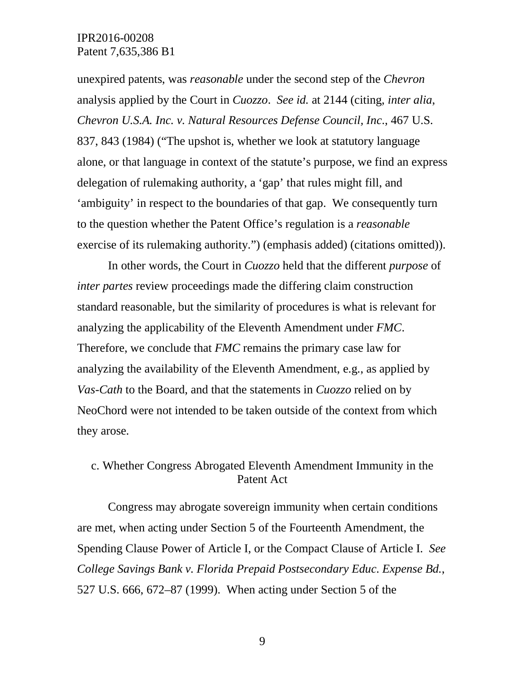unexpired patents, was *reasonable* under the second step of the *Chevron* analysis applied by the Court in *Cuozzo*. *See id.* at 2144 (citing, *inter alia*, *Chevron U.S.A. Inc. v. Natural Resources Defense Council, Inc*., 467 U.S. 837, 843 (1984) ("The upshot is, whether we look at statutory language alone, or that language in context of the statute's purpose, we find an express delegation of rulemaking authority, a 'gap' that rules might fill, and 'ambiguity' in respect to the boundaries of that gap. We consequently turn to the question whether the Patent Office's regulation is a *reasonable* exercise of its rulemaking authority.") (emphasis added) (citations omitted)).

In other words, the Court in *Cuozzo* held that the different *purpose* of *inter partes* review proceedings made the differing claim construction standard reasonable, but the similarity of procedures is what is relevant for analyzing the applicability of the Eleventh Amendment under *FMC*. Therefore, we conclude that *FMC* remains the primary case law for analyzing the availability of the Eleventh Amendment, e.g., as applied by *Vas-Cath* to the Board, and that the statements in *Cuozzo* relied on by NeoChord were not intended to be taken outside of the context from which they arose.

# c. Whether Congress Abrogated Eleventh Amendment Immunity in the Patent Act

Congress may abrogate sovereign immunity when certain conditions are met, when acting under Section 5 of the Fourteenth Amendment, the Spending Clause Power of Article I, or the Compact Clause of Article I. *See College Savings Bank v. Florida Prepaid Postsecondary Educ. Expense Bd.*, 527 U.S. 666, 672–87 (1999). When acting under Section 5 of the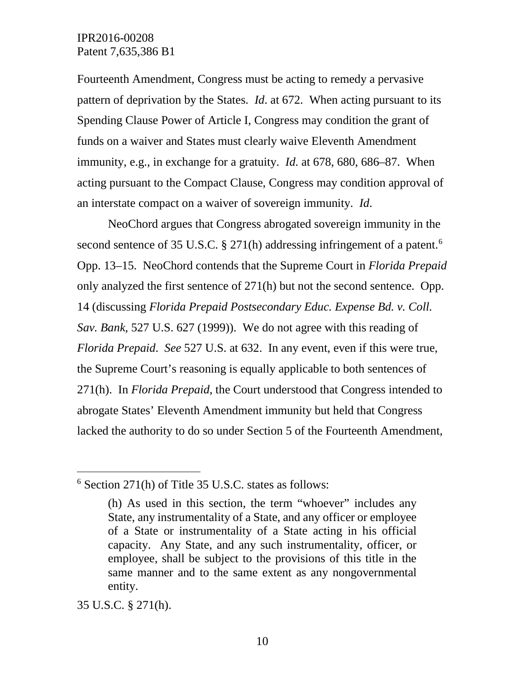Fourteenth Amendment, Congress must be acting to remedy a pervasive pattern of deprivation by the States. *Id*. at 672. When acting pursuant to its Spending Clause Power of Article I, Congress may condition the grant of funds on a waiver and States must clearly waive Eleventh Amendment immunity, e.g., in exchange for a gratuity. *Id*. at 678, 680, 686–87. When acting pursuant to the Compact Clause, Congress may condition approval of an interstate compact on a waiver of sovereign immunity. *Id*.

NeoChord argues that Congress abrogated sovereign immunity in the second sentence of 35 U.S.C. § 271(h) addressing infringement of a patent.<sup>[6](#page-9-0)</sup> Opp. 13–15. NeoChord contends that the Supreme Court in *Florida Prepaid* only analyzed the first sentence of 271(h) but not the second sentence. Opp. 14 (discussing *Florida Prepaid Postsecondary Educ. Expense Bd. v. Coll. Sav. Bank*, 527 U.S. 627 (1999)). We do not agree with this reading of *Florida Prepaid*. *See* 527 U.S. at 632. In any event, even if this were true, the Supreme Court's reasoning is equally applicable to both sentences of 271(h). In *Florida Prepaid*, the Court understood that Congress intended to abrogate States' Eleventh Amendment immunity but held that Congress lacked the authority to do so under Section 5 of the Fourteenth Amendment,

35 U.S.C. § 271(h).

 $\overline{a}$ 

<span id="page-9-0"></span><sup>6</sup> Section 271(h) of Title 35 U.S.C. states as follows:

<sup>(</sup>h) As used in this section, the term "whoever" includes any State, any instrumentality of a State, and any officer or employee of a State or instrumentality of a State acting in his official capacity. Any State, and any such instrumentality, officer, or employee, shall be subject to the provisions of this title in the same manner and to the same extent as any nongovernmental entity.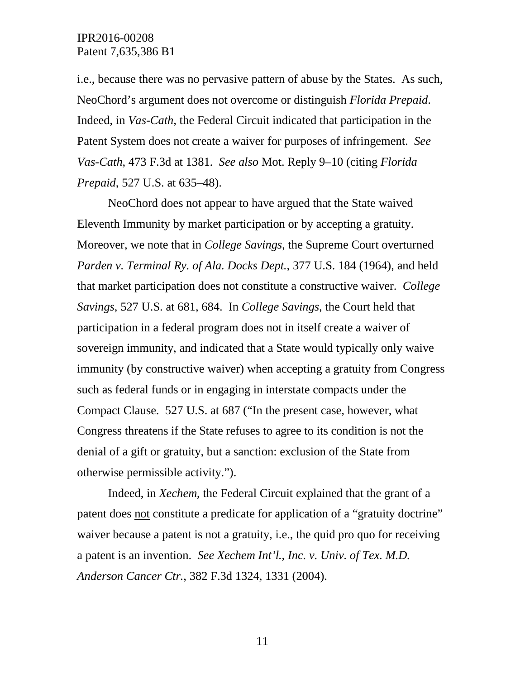i.e., because there was no pervasive pattern of abuse by the States. As such, NeoChord's argument does not overcome or distinguish *Florida Prepaid*. Indeed, in *Vas-Cath*, the Federal Circuit indicated that participation in the Patent System does not create a waiver for purposes of infringement. *See Vas-Cath*, 473 F.3d at 1381. *See also* Mot. Reply 9–10 (citing *Florida Prepaid*, 527 U.S. at 635–48).

NeoChord does not appear to have argued that the State waived Eleventh Immunity by market participation or by accepting a gratuity. Moreover, we note that in *College Savings*, the Supreme Court overturned *Parden v. Terminal Ry. of Ala. Docks Dept.*, 377 U.S. 184 (1964), and held that market participation does not constitute a constructive waiver. *College Savings*, 527 U.S. at 681, 684. In *College Savings*, the Court held that participation in a federal program does not in itself create a waiver of sovereign immunity, and indicated that a State would typically only waive immunity (by constructive waiver) when accepting a gratuity from Congress such as federal funds or in engaging in interstate compacts under the Compact Clause. 527 U.S. at 687 ("In the present case, however, what Congress threatens if the State refuses to agree to its condition is not the denial of a gift or gratuity, but a sanction: exclusion of the State from otherwise permissible activity.").

Indeed, in *Xechem*, the Federal Circuit explained that the grant of a patent does not constitute a predicate for application of a "gratuity doctrine" waiver because a patent is not a gratuity, i.e., the quid pro quo for receiving a patent is an invention. *See Xechem Int'l., Inc. v. Univ. of Tex. M.D. Anderson Cancer Ctr.*, 382 F.3d 1324, 1331 (2004).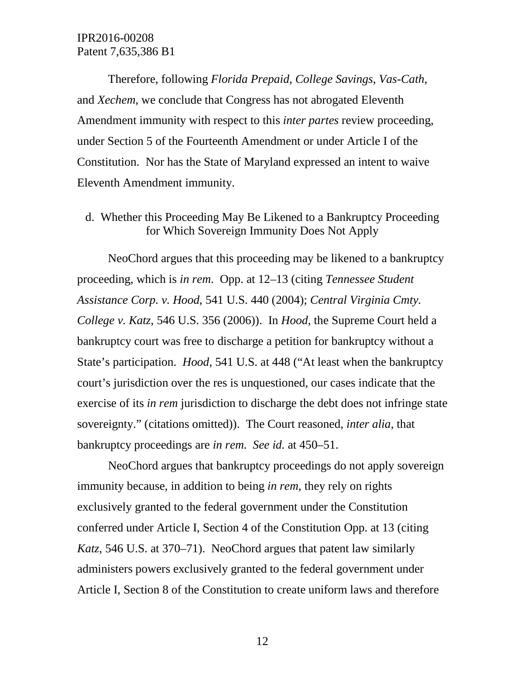Therefore, following *Florida Prepaid*, *College Savings*, *Vas-Cath*, and *Xechem*, we conclude that Congress has not abrogated Eleventh Amendment immunity with respect to this *inter partes* review proceeding, under Section 5 of the Fourteenth Amendment or under Article I of the Constitution. Nor has the State of Maryland expressed an intent to waive Eleventh Amendment immunity.

d. Whether this Proceeding May Be Likened to a Bankruptcy Proceeding for Which Sovereign Immunity Does Not Apply

NeoChord argues that this proceeding may be likened to a bankruptcy proceeding, which is *in rem*. Opp. at 12–13 (citing *Tennessee Student Assistance Corp. v. Hood*, 541 U.S. 440 (2004); *Central Virginia Cmty. College v. Katz*, 546 U.S. 356 (2006)). In *Hood*, the Supreme Court held a bankruptcy court was free to discharge a petition for bankruptcy without a State's participation. *Hood*, 541 U.S. at 448 ("At least when the bankruptcy court's jurisdiction over the res is unquestioned, our cases indicate that the exercise of its *in rem* jurisdiction to discharge the debt does not infringe state sovereignty." (citations omitted)). The Court reasoned, *inter alia*, that bankruptcy proceedings are *in rem*. *See id.* at 450–51.

NeoChord argues that bankruptcy proceedings do not apply sovereign immunity because, in addition to being *in rem*, they rely on rights exclusively granted to the federal government under the Constitution conferred under Article I, Section 4 of the Constitution Opp. at 13 (citing *Katz*, 546 U.S. at 370–71). NeoChord argues that patent law similarly administers powers exclusively granted to the federal government under Article I, Section 8 of the Constitution to create uniform laws and therefore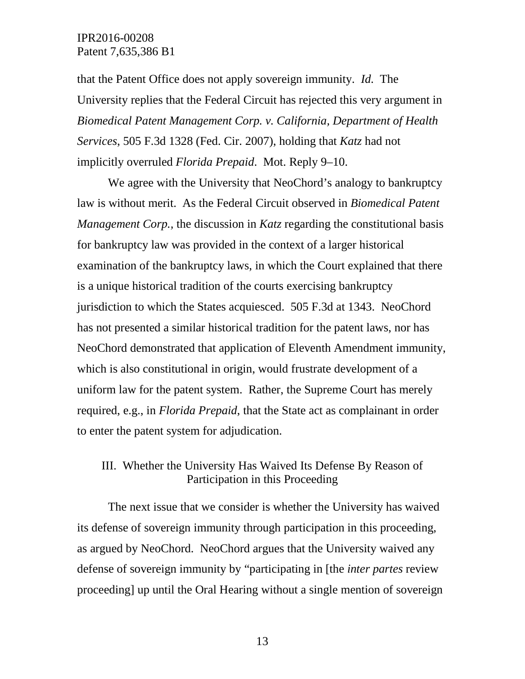that the Patent Office does not apply sovereign immunity. *Id.* The University replies that the Federal Circuit has rejected this very argument in *Biomedical Patent Management Corp. v. California, Department of Health Services*, 505 F.3d 1328 (Fed. Cir. 2007), holding that *Katz* had not implicitly overruled *Florida Prepaid*. Mot. Reply 9–10.

We agree with the University that NeoChord's analogy to bankruptcy law is without merit. As the Federal Circuit observed in *Biomedical Patent Management Corp.,* the discussion in *Katz* regarding the constitutional basis for bankruptcy law was provided in the context of a larger historical examination of the bankruptcy laws, in which the Court explained that there is a unique historical tradition of the courts exercising bankruptcy jurisdiction to which the States acquiesced. 505 F.3d at 1343. NeoChord has not presented a similar historical tradition for the patent laws, nor has NeoChord demonstrated that application of Eleventh Amendment immunity, which is also constitutional in origin, would frustrate development of a uniform law for the patent system. Rather, the Supreme Court has merely required, e.g., in *Florida Prepaid*, that the State act as complainant in order to enter the patent system for adjudication.

# III. Whether the University Has Waived Its Defense By Reason of Participation in this Proceeding

The next issue that we consider is whether the University has waived its defense of sovereign immunity through participation in this proceeding, as argued by NeoChord. NeoChord argues that the University waived any defense of sovereign immunity by "participating in [the *inter partes* review proceeding] up until the Oral Hearing without a single mention of sovereign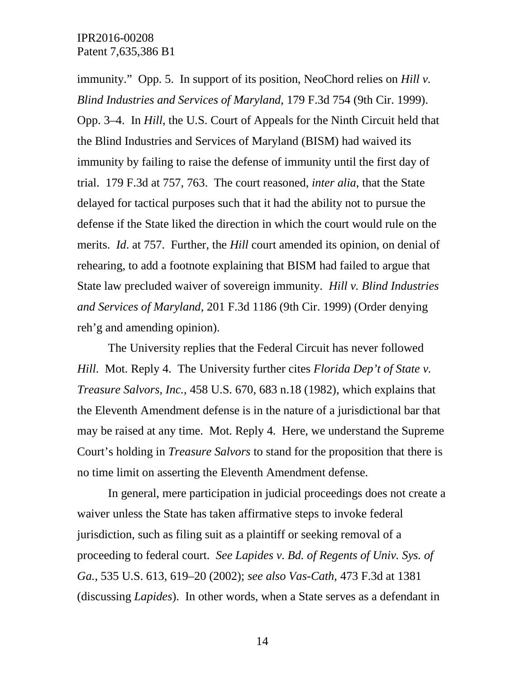immunity." Opp. 5. In support of its position, NeoChord relies on *Hill v. Blind Industries and Services of Maryland*, 179 F.3d 754 (9th Cir. 1999). Opp. 3–4. In *Hill*, the U.S. Court of Appeals for the Ninth Circuit held that the Blind Industries and Services of Maryland (BISM) had waived its immunity by failing to raise the defense of immunity until the first day of trial. 179 F.3d at 757, 763. The court reasoned, *inter alia*, that the State delayed for tactical purposes such that it had the ability not to pursue the defense if the State liked the direction in which the court would rule on the merits. *Id*. at 757. Further, the *Hill* court amended its opinion, on denial of rehearing, to add a footnote explaining that BISM had failed to argue that State law precluded waiver of sovereign immunity. *Hill v. Blind Industries and Services of Maryland*, 201 F.3d 1186 (9th Cir. 1999) (Order denying reh'g and amending opinion).

The University replies that the Federal Circuit has never followed *Hill*. Mot. Reply 4. The University further cites *Florida Dep't of State v. Treasure Salvors, Inc.*, 458 U.S. 670, 683 n.18 (1982), which explains that the Eleventh Amendment defense is in the nature of a jurisdictional bar that may be raised at any time. Mot. Reply 4. Here, we understand the Supreme Court's holding in *Treasure Salvors* to stand for the proposition that there is no time limit on asserting the Eleventh Amendment defense.

In general, mere participation in judicial proceedings does not create a waiver unless the State has taken affirmative steps to invoke federal jurisdiction, such as filing suit as a plaintiff or seeking removal of a proceeding to federal court. *See Lapides v. Bd. of Regents of Univ. Sys. of Ga.*, 535 U.S. 613, 619–20 (2002); *see also Vas-Cath*, 473 F.3d at 1381 (discussing *Lapides*). In other words, when a State serves as a defendant in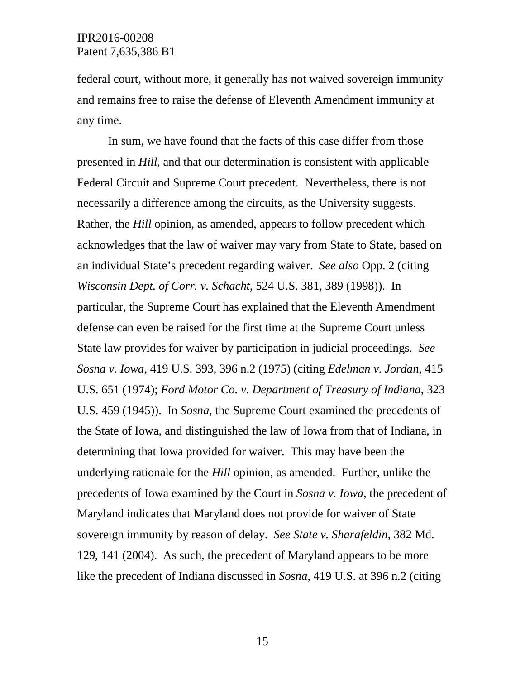federal court, without more, it generally has not waived sovereign immunity and remains free to raise the defense of Eleventh Amendment immunity at any time.

In sum, we have found that the facts of this case differ from those presented in *Hill*, and that our determination is consistent with applicable Federal Circuit and Supreme Court precedent. Nevertheless, there is not necessarily a difference among the circuits, as the University suggests. Rather, the *Hill* opinion, as amended, appears to follow precedent which acknowledges that the law of waiver may vary from State to State, based on an individual State's precedent regarding waiver. *See also* Opp. 2 (citing *Wisconsin Dept. of Corr. v. Schacht*, 524 U.S. 381, 389 (1998)). In particular, the Supreme Court has explained that the Eleventh Amendment defense can even be raised for the first time at the Supreme Court unless State law provides for waiver by participation in judicial proceedings. *See Sosna v. Iowa*, 419 U.S. 393, 396 n.2 (1975) (citing *Edelman v. Jordan*, 415 U.S. 651 (1974); *Ford Motor Co. v. Department of Treasury of Indiana*, 323 U.S. 459 (1945)). In *Sosna*, the Supreme Court examined the precedents of the State of Iowa, and distinguished the law of Iowa from that of Indiana, in determining that Iowa provided for waiver. This may have been the underlying rationale for the *Hill* opinion, as amended. Further, unlike the precedents of Iowa examined by the Court in *Sosna v. Iowa*, the precedent of Maryland indicates that Maryland does not provide for waiver of State sovereign immunity by reason of delay. *See State v. Sharafeldin*, 382 Md. 129, 141 (2004). As such, the precedent of Maryland appears to be more like the precedent of Indiana discussed in *Sosna*, 419 U.S. at 396 n.2 (citing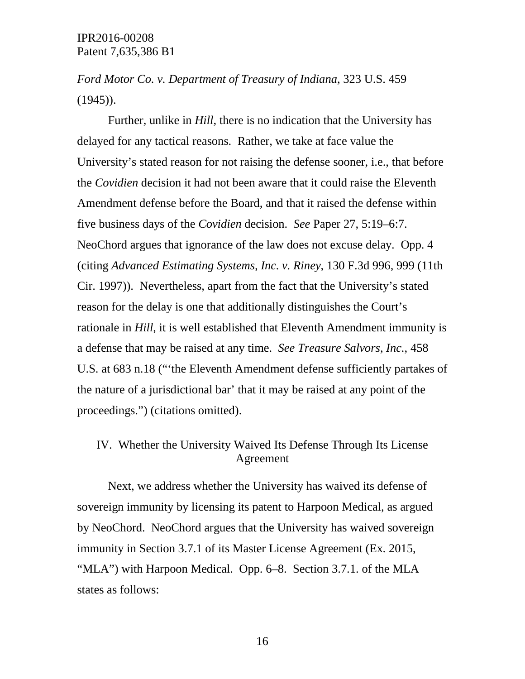*Ford Motor Co. v. Department of Treasury of Indiana*, 323 U.S. 459  $(1945)$ .

Further, unlike in *Hill*, there is no indication that the University has delayed for any tactical reasons. Rather, we take at face value the University's stated reason for not raising the defense sooner, i.e., that before the *Covidien* decision it had not been aware that it could raise the Eleventh Amendment defense before the Board, and that it raised the defense within five business days of the *Covidien* decision. *See* Paper 27, 5:19–6:7. NeoChord argues that ignorance of the law does not excuse delay. Opp. 4 (citing *Advanced Estimating Systems, Inc. v. Riney*, 130 F.3d 996, 999 (11th Cir. 1997)). Nevertheless, apart from the fact that the University's stated reason for the delay is one that additionally distinguishes the Court's rationale in *Hill*, it is well established that Eleventh Amendment immunity is a defense that may be raised at any time. *See Treasure Salvors, Inc.*, 458 U.S. at 683 n.18 ("'the Eleventh Amendment defense sufficiently partakes of the nature of a jurisdictional bar' that it may be raised at any point of the proceedings.") (citations omitted).

# IV. Whether the University Waived Its Defense Through Its License Agreement

Next, we address whether the University has waived its defense of sovereign immunity by licensing its patent to Harpoon Medical, as argued by NeoChord. NeoChord argues that the University has waived sovereign immunity in Section 3.7.1 of its Master License Agreement (Ex. 2015, "MLA") with Harpoon Medical. Opp. 6–8. Section 3.7.1. of the MLA states as follows: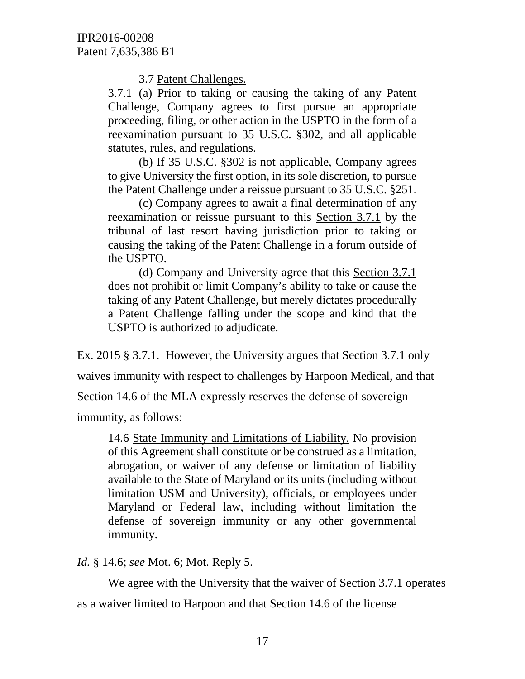3.7 Patent Challenges.

3.7.1 (a) Prior to taking or causing the taking of any Patent Challenge, Company agrees to first pursue an appropriate proceeding, filing, or other action in the USPTO in the form of a reexamination pursuant to 35 U.S.C. §302, and all applicable statutes, rules, and regulations.

(b) If 35 U.S.C. §302 is not applicable, Company agrees to give University the first option, in its sole discretion, to pursue the Patent Challenge under a reissue pursuant to 35 U.S.C. §251.

(c) Company agrees to await a final determination of any reexamination or reissue pursuant to this Section 3.7.1 by the tribunal of last resort having jurisdiction prior to taking or causing the taking of the Patent Challenge in a forum outside of the USPTO.

(d) Company and University agree that this Section 3.7.1 does not prohibit or limit Company's ability to take or cause the taking of any Patent Challenge, but merely dictates procedurally a Patent Challenge falling under the scope and kind that the USPTO is authorized to adjudicate.

Ex. 2015 § 3.7.1. However, the University argues that Section 3.7.1 only

waives immunity with respect to challenges by Harpoon Medical, and that

Section 14.6 of the MLA expressly reserves the defense of sovereign

immunity, as follows:

14.6 State Immunity and Limitations of Liability. No provision of this Agreement shall constitute or be construed as a limitation, abrogation, or waiver of any defense or limitation of liability available to the State of Maryland or its units (including without limitation USM and University), officials, or employees under Maryland or Federal law, including without limitation the defense of sovereign immunity or any other governmental immunity.

*Id.* § 14.6; *see* Mot. 6; Mot. Reply 5.

We agree with the University that the waiver of Section 3.7.1 operates as a waiver limited to Harpoon and that Section 14.6 of the license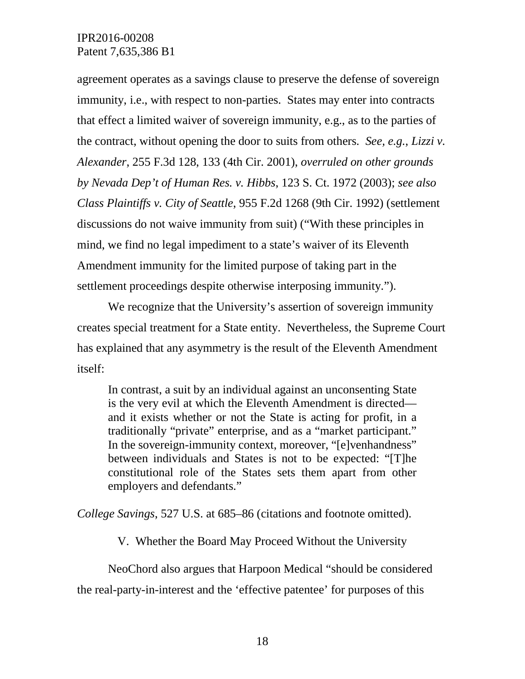agreement operates as a savings clause to preserve the defense of sovereign immunity, i.e., with respect to non-parties. States may enter into contracts that effect a limited waiver of sovereign immunity, e.g., as to the parties of the contract, without opening the door to suits from others. *See, e.g.*, *Lizzi v. Alexander*, 255 F.3d 128, 133 (4th Cir. 2001), *overruled on other grounds by Nevada Dep't of Human Res. v. Hibbs*, 123 S. Ct. 1972 (2003); *see also Class Plaintiffs v. City of Seattle*, 955 F.2d 1268 (9th Cir. 1992) (settlement discussions do not waive immunity from suit) ("With these principles in mind, we find no legal impediment to a state's waiver of its Eleventh Amendment immunity for the limited purpose of taking part in the settlement proceedings despite otherwise interposing immunity.").

We recognize that the University's assertion of sovereign immunity creates special treatment for a State entity. Nevertheless, the Supreme Court has explained that any asymmetry is the result of the Eleventh Amendment itself:

In contrast, a suit by an individual against an unconsenting State is the very evil at which the Eleventh Amendment is directed and it exists whether or not the State is acting for profit, in a traditionally "private" enterprise, and as a "market participant." In the sovereign-immunity context, moreover, "[e]venhandness" between individuals and States is not to be expected: "[T]he constitutional role of the States sets them apart from other employers and defendants."

*College Savings*, 527 U.S. at 685–86 (citations and footnote omitted).

V. Whether the Board May Proceed Without the University

NeoChord also argues that Harpoon Medical "should be considered the real-party-in-interest and the 'effective patentee' for purposes of this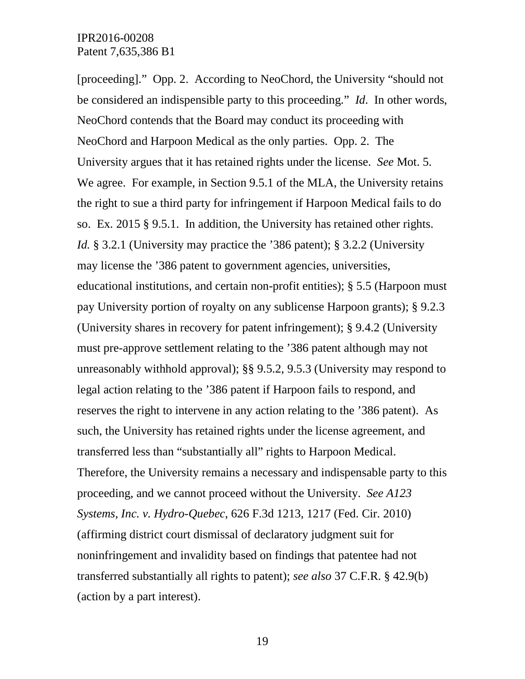[proceeding]." Opp. 2. According to NeoChord, the University "should not be considered an indispensible party to this proceeding." *Id*. In other words, NeoChord contends that the Board may conduct its proceeding with NeoChord and Harpoon Medical as the only parties. Opp. 2. The University argues that it has retained rights under the license. *See* Mot. 5. We agree. For example, in Section 9.5.1 of the MLA, the University retains the right to sue a third party for infringement if Harpoon Medical fails to do so. Ex. 2015 § 9.5.1. In addition, the University has retained other rights. *Id.* § 3.2.1 (University may practice the '386 patent); § 3.2.2 (University may license the '386 patent to government agencies, universities, educational institutions, and certain non-profit entities); § 5.5 (Harpoon must pay University portion of royalty on any sublicense Harpoon grants); § 9.2.3 (University shares in recovery for patent infringement); § 9.4.2 (University must pre-approve settlement relating to the '386 patent although may not unreasonably withhold approval); §§ 9.5.2, 9.5.3 (University may respond to legal action relating to the '386 patent if Harpoon fails to respond, and reserves the right to intervene in any action relating to the '386 patent). As such, the University has retained rights under the license agreement, and transferred less than "substantially all" rights to Harpoon Medical. Therefore, the University remains a necessary and indispensable party to this proceeding, and we cannot proceed without the University. *See A123 Systems, Inc. v. Hydro-Quebec*, 626 F.3d 1213, 1217 (Fed. Cir. 2010) (affirming district court dismissal of declaratory judgment suit for noninfringement and invalidity based on findings that patentee had not transferred substantially all rights to patent); *see also* 37 C.F.R. § 42.9(b) (action by a part interest).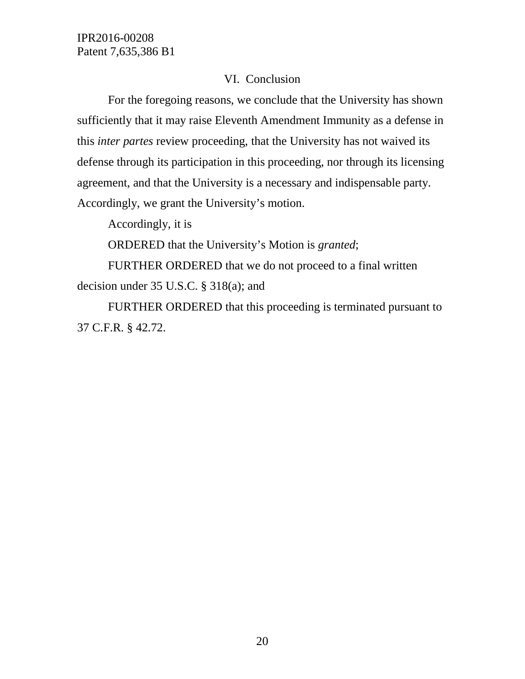# VI. Conclusion

For the foregoing reasons, we conclude that the University has shown sufficiently that it may raise Eleventh Amendment Immunity as a defense in this *inter partes* review proceeding, that the University has not waived its defense through its participation in this proceeding, nor through its licensing agreement, and that the University is a necessary and indispensable party. Accordingly, we grant the University's motion.

Accordingly, it is

ORDERED that the University's Motion is *granted*;

FURTHER ORDERED that we do not proceed to a final written decision under 35 U.S.C. § 318(a); and

FURTHER ORDERED that this proceeding is terminated pursuant to 37 C.F.R. § 42.72.